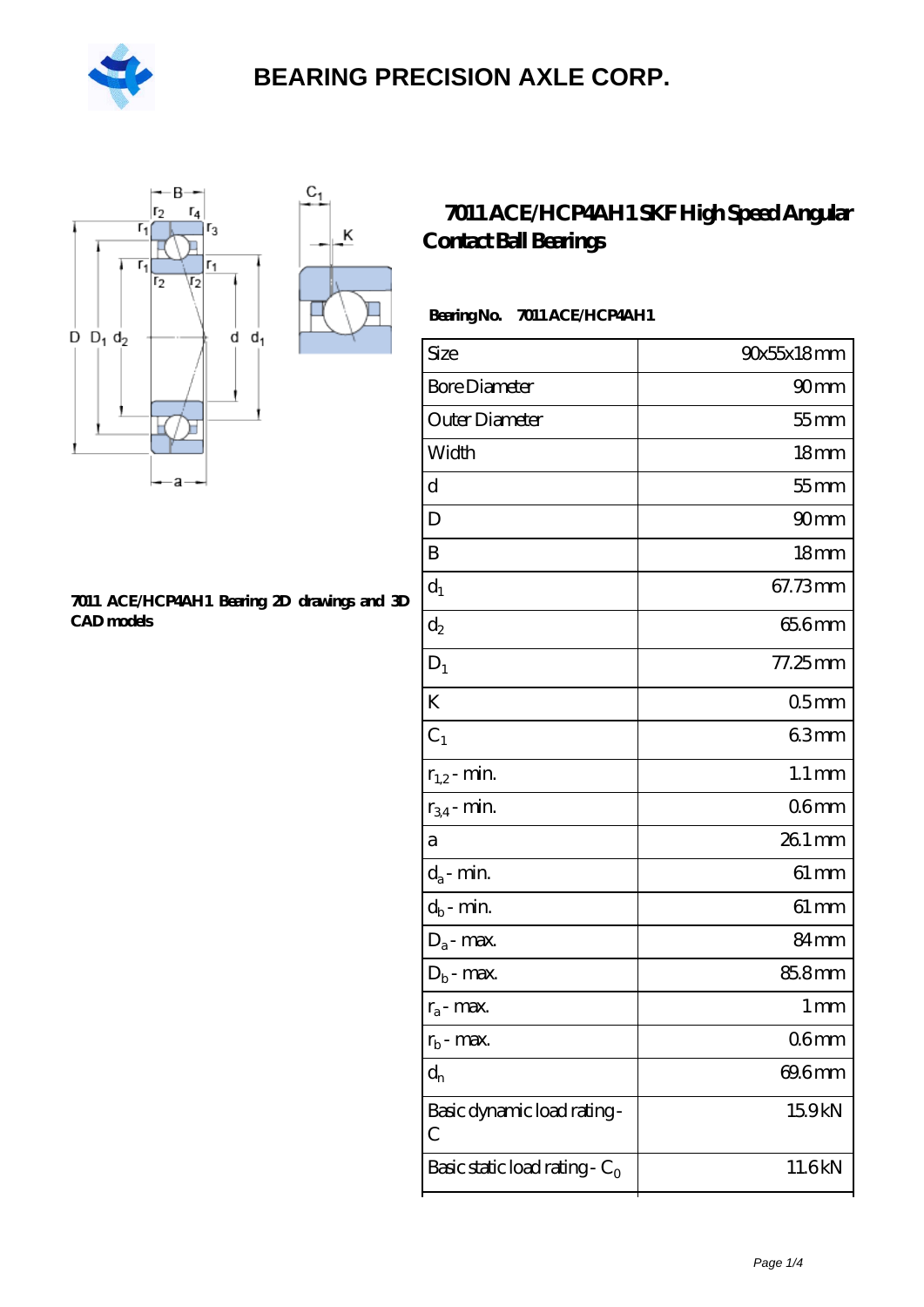

Κ



#### **[7011 ACE/HCP4AH1 Bearing 2D drawings and 3D](https://m.hilalanaokulu.com/pic-660720.html) [CAD models](https://m.hilalanaokulu.com/pic-660720.html)**

### **[7011 ACE/HCP4AH1 SKF High Speed Angular](https://m.hilalanaokulu.com/skf-bearings/7011-ace-hcp4ah1.html) [Contact Ball Bearings](https://m.hilalanaokulu.com/skf-bearings/7011-ace-hcp4ah1.html)**

### **Bearing No. 7011 ACE/HCP4AH1**

| Size                             | 90x55x18mm          |
|----------------------------------|---------------------|
| <b>Bore Diameter</b>             | 90 <sub>mm</sub>    |
| Outer Diameter                   | $55$ mm             |
| Width                            | 18 <sub>mm</sub>    |
| d                                | $55$ mm             |
| D                                | 90 <sub>mm</sub>    |
| B                                | 18 <sub>mm</sub>    |
| $\mathrm{d}_{1}$                 | 67.73mm             |
| $\mathrm{d}_2$                   | 65.6mm              |
| $D_1$                            | 77.25mm             |
| K                                | 05 <sub>mm</sub>    |
| $C_1$                            | 63mm                |
| $r_{1,2}$ - min.                 | $1.1 \,\mathrm{mm}$ |
| $r_{34}$ - min.                  | 06 <sub>mm</sub>    |
| a                                | 26.1 mm             |
| $d_a$ - min.                     | $61 \,\mathrm{mm}$  |
| $d_b$ - min.                     | $61 \,\mathrm{mm}$  |
| $D_a$ - max.                     | 84 <sub>mm</sub>    |
| $D_b$ - max.                     | 85.8mm              |
| $r_a$ - max.                     | $1 \, \mathrm{mm}$  |
| $r_{b}$ - max.                   | 06 <sub>mm</sub>    |
| $d_{n}$                          | 69.6mm              |
| Basic dynamic load rating-<br>С  | 15.9kN              |
| Basic static load rating - $C_0$ | 11.6kN              |
|                                  |                     |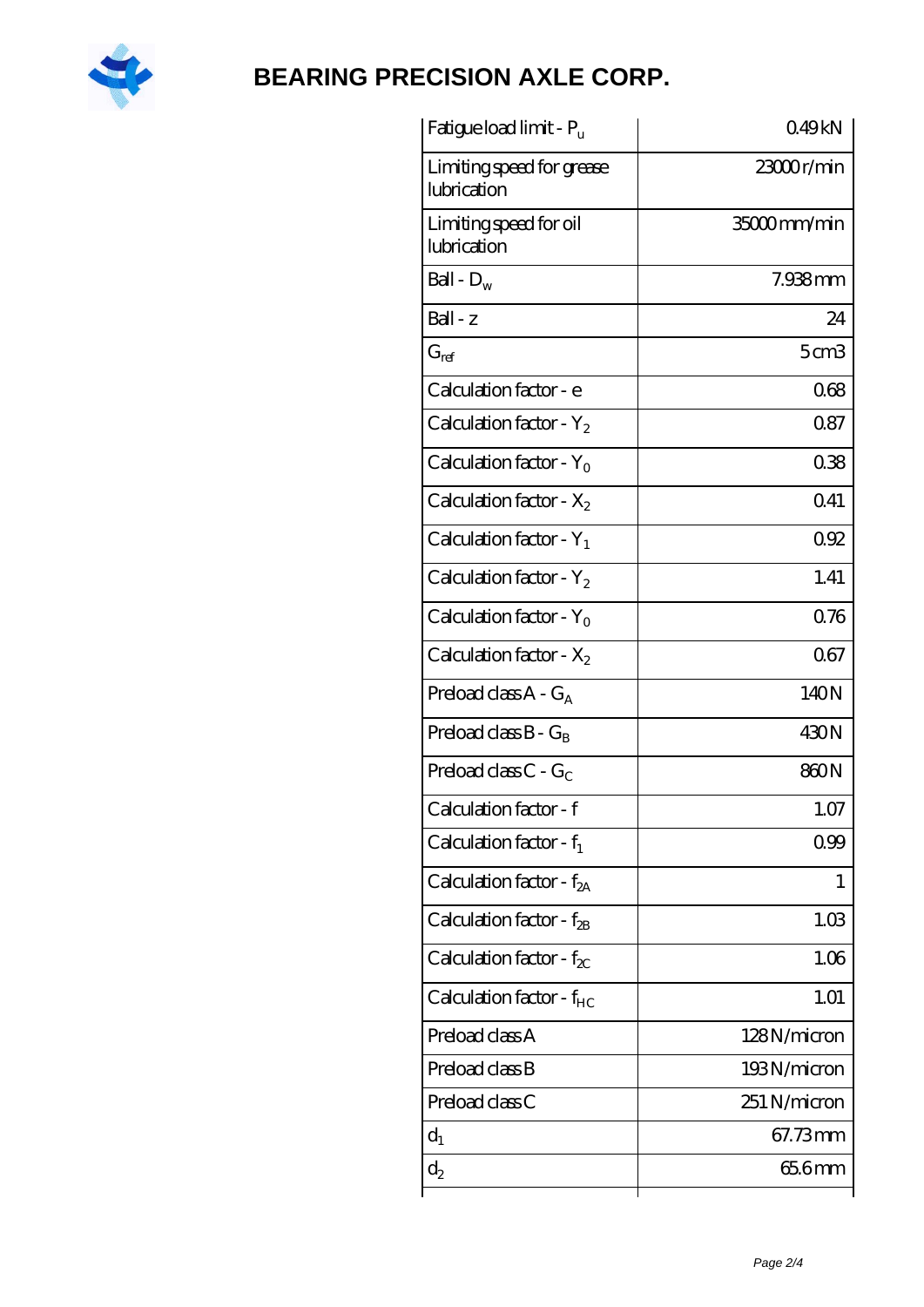

| 23000r/min<br>Limiting speed for grease<br>lubrication<br>Limiting speed for oil<br>35000mm/min<br>lubrication<br>Ball - $D_w$<br>7.938mm<br>Ball - z<br>24<br>5 <sub>cm3</sub><br>$G_{ref}$<br>Calculation factor - e<br>068<br>Calculation factor - $Y_2$<br>0.87<br>Calculation factor - $Y_0$<br>038<br>0.41<br>Calculation factor - $X_2$<br>092<br>Calculation factor - $Y_1$<br>1.41<br>Calculation factor - $Y_2$<br>0.76<br>Calculation factor - $Y_0$<br>Calculation factor - $X_2$<br>067<br>140N<br>Preload class $A - G_A$<br>Preload class $B - G_B$<br>430N<br>Preload class C - $G_C$<br>860N<br>Calculation factor - f<br>1.07<br>Calculation factor - $f_1$<br>0.99<br>Calculation factor - $f_{2A}$<br>1<br>Calculation factor - $f_{\mathcal{B}}$<br>1.03<br>Calculation factor - $f_{\chi}$<br>1.06<br>Calculation factor - f <sub>HC</sub><br>1.01<br>Preload class A<br>128N/micron<br>Preload class B<br>193N/micron<br>Preload class C<br>251 N/micron<br>67.73mm<br>$d_1$<br>65.6mm<br>$\mathrm{d}_2$ | Fatigue load limit - Pu | 049kN |
|---------------------------------------------------------------------------------------------------------------------------------------------------------------------------------------------------------------------------------------------------------------------------------------------------------------------------------------------------------------------------------------------------------------------------------------------------------------------------------------------------------------------------------------------------------------------------------------------------------------------------------------------------------------------------------------------------------------------------------------------------------------------------------------------------------------------------------------------------------------------------------------------------------------------------------------------------------------------------------------------------------------------------------|-------------------------|-------|
|                                                                                                                                                                                                                                                                                                                                                                                                                                                                                                                                                                                                                                                                                                                                                                                                                                                                                                                                                                                                                                 |                         |       |
|                                                                                                                                                                                                                                                                                                                                                                                                                                                                                                                                                                                                                                                                                                                                                                                                                                                                                                                                                                                                                                 |                         |       |
|                                                                                                                                                                                                                                                                                                                                                                                                                                                                                                                                                                                                                                                                                                                                                                                                                                                                                                                                                                                                                                 |                         |       |
|                                                                                                                                                                                                                                                                                                                                                                                                                                                                                                                                                                                                                                                                                                                                                                                                                                                                                                                                                                                                                                 |                         |       |
|                                                                                                                                                                                                                                                                                                                                                                                                                                                                                                                                                                                                                                                                                                                                                                                                                                                                                                                                                                                                                                 |                         |       |
|                                                                                                                                                                                                                                                                                                                                                                                                                                                                                                                                                                                                                                                                                                                                                                                                                                                                                                                                                                                                                                 |                         |       |
|                                                                                                                                                                                                                                                                                                                                                                                                                                                                                                                                                                                                                                                                                                                                                                                                                                                                                                                                                                                                                                 |                         |       |
|                                                                                                                                                                                                                                                                                                                                                                                                                                                                                                                                                                                                                                                                                                                                                                                                                                                                                                                                                                                                                                 |                         |       |
|                                                                                                                                                                                                                                                                                                                                                                                                                                                                                                                                                                                                                                                                                                                                                                                                                                                                                                                                                                                                                                 |                         |       |
|                                                                                                                                                                                                                                                                                                                                                                                                                                                                                                                                                                                                                                                                                                                                                                                                                                                                                                                                                                                                                                 |                         |       |
|                                                                                                                                                                                                                                                                                                                                                                                                                                                                                                                                                                                                                                                                                                                                                                                                                                                                                                                                                                                                                                 |                         |       |
|                                                                                                                                                                                                                                                                                                                                                                                                                                                                                                                                                                                                                                                                                                                                                                                                                                                                                                                                                                                                                                 |                         |       |
|                                                                                                                                                                                                                                                                                                                                                                                                                                                                                                                                                                                                                                                                                                                                                                                                                                                                                                                                                                                                                                 |                         |       |
|                                                                                                                                                                                                                                                                                                                                                                                                                                                                                                                                                                                                                                                                                                                                                                                                                                                                                                                                                                                                                                 |                         |       |
|                                                                                                                                                                                                                                                                                                                                                                                                                                                                                                                                                                                                                                                                                                                                                                                                                                                                                                                                                                                                                                 |                         |       |
|                                                                                                                                                                                                                                                                                                                                                                                                                                                                                                                                                                                                                                                                                                                                                                                                                                                                                                                                                                                                                                 |                         |       |
|                                                                                                                                                                                                                                                                                                                                                                                                                                                                                                                                                                                                                                                                                                                                                                                                                                                                                                                                                                                                                                 |                         |       |
|                                                                                                                                                                                                                                                                                                                                                                                                                                                                                                                                                                                                                                                                                                                                                                                                                                                                                                                                                                                                                                 |                         |       |
|                                                                                                                                                                                                                                                                                                                                                                                                                                                                                                                                                                                                                                                                                                                                                                                                                                                                                                                                                                                                                                 |                         |       |
|                                                                                                                                                                                                                                                                                                                                                                                                                                                                                                                                                                                                                                                                                                                                                                                                                                                                                                                                                                                                                                 |                         |       |
|                                                                                                                                                                                                                                                                                                                                                                                                                                                                                                                                                                                                                                                                                                                                                                                                                                                                                                                                                                                                                                 |                         |       |
|                                                                                                                                                                                                                                                                                                                                                                                                                                                                                                                                                                                                                                                                                                                                                                                                                                                                                                                                                                                                                                 |                         |       |
|                                                                                                                                                                                                                                                                                                                                                                                                                                                                                                                                                                                                                                                                                                                                                                                                                                                                                                                                                                                                                                 |                         |       |
|                                                                                                                                                                                                                                                                                                                                                                                                                                                                                                                                                                                                                                                                                                                                                                                                                                                                                                                                                                                                                                 |                         |       |
|                                                                                                                                                                                                                                                                                                                                                                                                                                                                                                                                                                                                                                                                                                                                                                                                                                                                                                                                                                                                                                 |                         |       |
|                                                                                                                                                                                                                                                                                                                                                                                                                                                                                                                                                                                                                                                                                                                                                                                                                                                                                                                                                                                                                                 |                         |       |
|                                                                                                                                                                                                                                                                                                                                                                                                                                                                                                                                                                                                                                                                                                                                                                                                                                                                                                                                                                                                                                 |                         |       |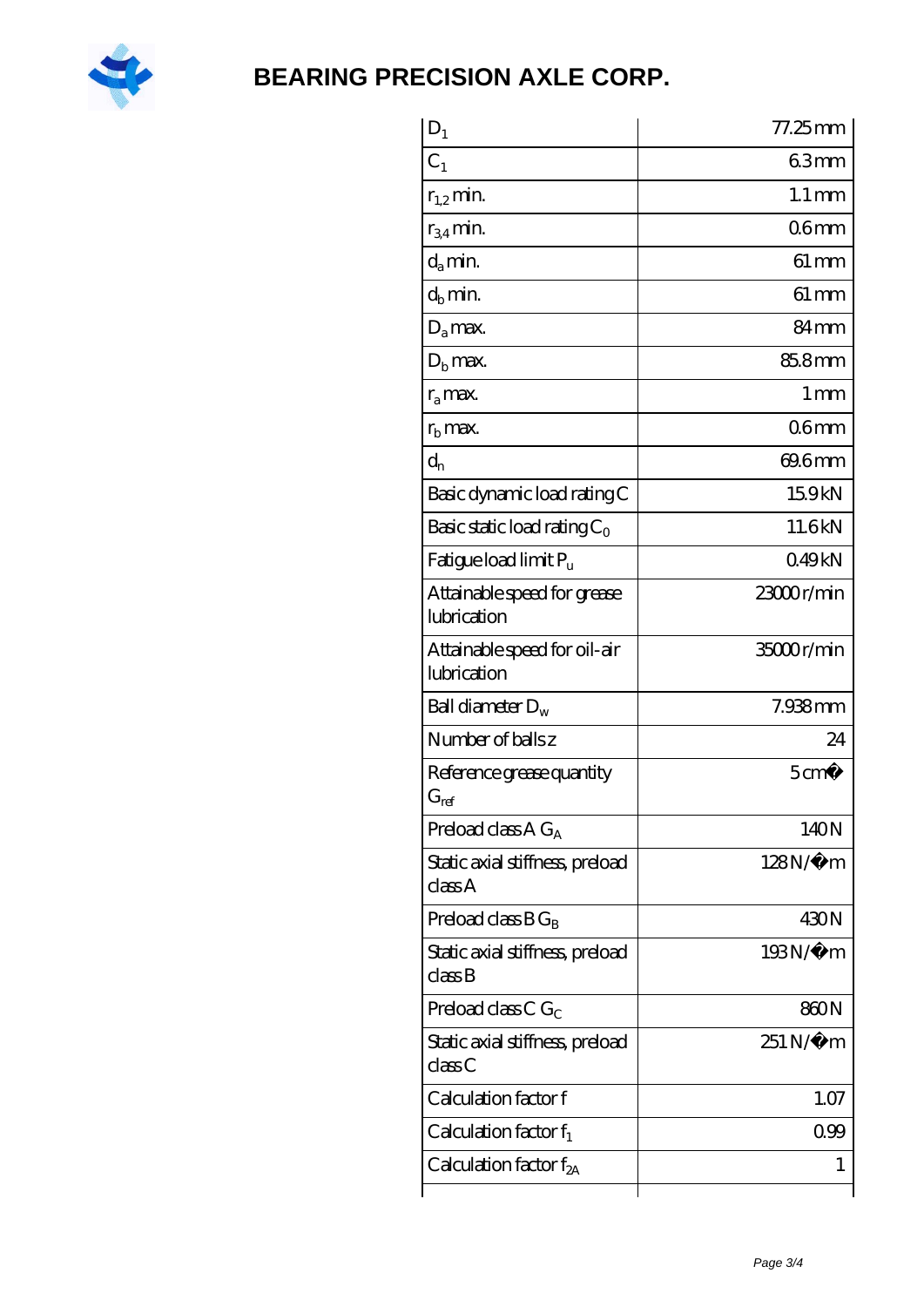

| $D_1$                                                         | $77.25$ mm          |
|---------------------------------------------------------------|---------------------|
| C <sub>1</sub>                                                | 63mm                |
| $r_{1,2}$ min.                                                | $1.1 \,\mathrm{mm}$ |
| $r_{34}$ min.                                                 | 06 <sub>mm</sub>    |
| $d_{a}$ min.                                                  | $61 \,\mathrm{mm}$  |
| $d_h$ min.                                                    | $61 \,\mathrm{mm}$  |
| $D_a$ max.                                                    | 84 <sub>mm</sub>    |
| $Db$ max.                                                     | 85.8mm              |
| $r_a$ max.                                                    | 1 <sub>mm</sub>     |
| $r_{\rm b}$ max.                                              | 06 <sub>mm</sub>    |
| $d_{n}$                                                       | 69.6mm              |
| Basic dynamic load rating C                                   | 15.9kN              |
| Basic static load rating $C_0$                                | 11.6kN              |
| Fatigue load limit $P_u$                                      | 049kN               |
| Attainable speed for grease<br>lubrication                    | 23000r/min          |
| Attainable speed for oil-air<br>lubrication                   | 35000r/min          |
| Ball diameter $D_w$                                           | 7.938mm             |
| Number of balls z                                             | 24                  |
| Reference grease quantity<br>$G_{ref}$                        | $5 \text{ cm}^3$    |
| Preload class $A G_A$                                         | 140N                |
| Static axial stiffness, preload<br>classA                     | $128N/\mu$ m        |
| Preload class $BG_R$                                          | 430N                |
| Static axial stiffness, preload<br>$\mathrm{class}\mathrm{B}$ | 193N/μ m            |
| Preload class C $G_C$                                         | 860N                |
| Static axial stiffness, preload<br>classC                     | 251 N/µ m           |
| Calculation factor f                                          | 1.07                |
| Calculation factor $f_1$                                      | 099                 |
| Calculation factor $f_{2A}$                                   | 1                   |
|                                                               |                     |